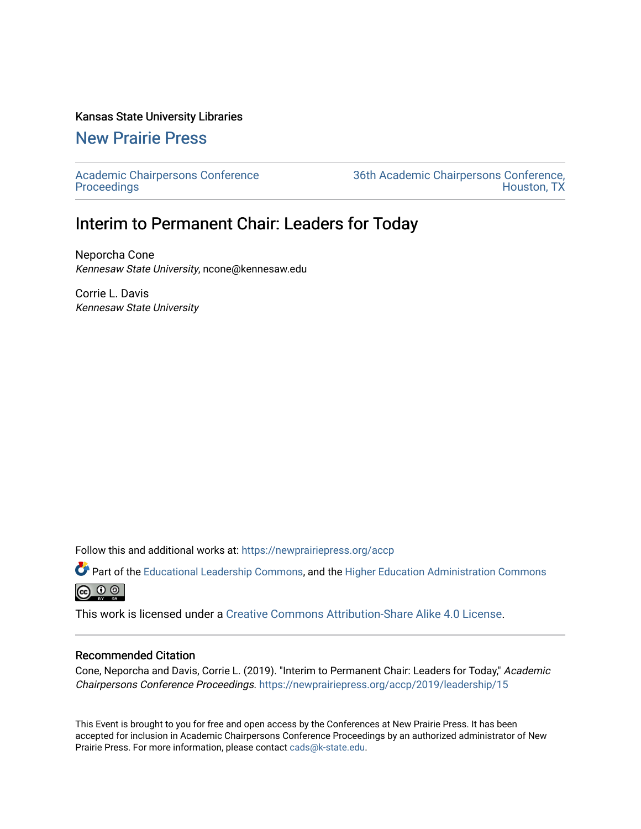### Kansas State University Libraries

## [New Prairie Press](https://newprairiepress.org/)

[Academic Chairpersons Conference](https://newprairiepress.org/accp)  **Proceedings** 

[36th Academic Chairpersons Conference,](https://newprairiepress.org/accp/2019)  [Houston, TX](https://newprairiepress.org/accp/2019) 

# Interim to Permanent Chair: Leaders for Today

Neporcha Cone Kennesaw State University, ncone@kennesaw.edu

Corrie L. Davis Kennesaw State University

Follow this and additional works at: [https://newprairiepress.org/accp](https://newprairiepress.org/accp?utm_source=newprairiepress.org%2Faccp%2F2019%2Fleadership%2F15&utm_medium=PDF&utm_campaign=PDFCoverPages) 

Part of the [Educational Leadership Commons,](http://network.bepress.com/hgg/discipline/1230?utm_source=newprairiepress.org%2Faccp%2F2019%2Fleadership%2F15&utm_medium=PDF&utm_campaign=PDFCoverPages) and the [Higher Education Administration Commons](http://network.bepress.com/hgg/discipline/791?utm_source=newprairiepress.org%2Faccp%2F2019%2Fleadership%2F15&utm_medium=PDF&utm_campaign=PDFCoverPages)  $\circledcirc$ 

This work is licensed under a [Creative Commons Attribution-Share Alike 4.0 License.](https://creativecommons.org/licenses/by-sa/4.0/)

### Recommended Citation

Cone, Neporcha and Davis, Corrie L. (2019). "Interim to Permanent Chair: Leaders for Today," Academic Chairpersons Conference Proceedings. <https://newprairiepress.org/accp/2019/leadership/15>

This Event is brought to you for free and open access by the Conferences at New Prairie Press. It has been accepted for inclusion in Academic Chairpersons Conference Proceedings by an authorized administrator of New Prairie Press. For more information, please contact [cads@k-state.edu.](mailto:cads@k-state.edu)